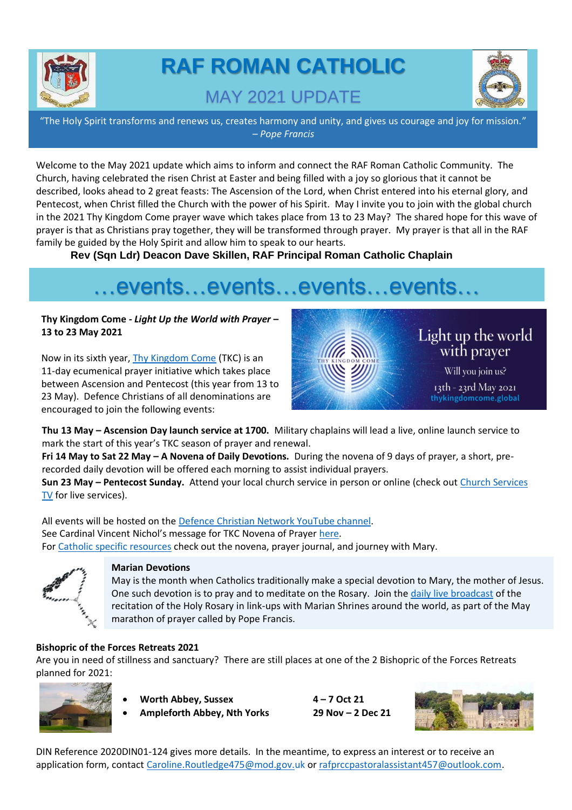

# **RAF ROMAN CATHOLIC**  MAY 2021 UPDATE



"The Holy Spirit transforms and renews us, creates harmony and unity, and gives us courage and joy for mission." *– Pope Francis*

Welcome to the May 2021 update which aims to inform and connect the RAF Roman Catholic Community. The Church, having celebrated the risen Christ at Easter and being filled with a joy so glorious that it cannot be described, looks ahead to 2 great feasts: The Ascension of the Lord, when Christ entered into his eternal glory, and Pentecost, when Christ filled the Church with the power of his Spirit. May I invite you to join with the global church in the 2021 Thy Kingdom Come prayer wave which takes place from 13 to 23 May? The shared hope for this wave of prayer is that as Christians pray together, they will be transformed through prayer. My prayer is that all in the RAF family be guided by the Holy Spirit and allow him to speak to our hearts.

**Rev (Sqn Ldr) Deacon Dave Skillen, RAF Principal Roman Catholic Chaplain**

# …events…events…events…events…

## **Thy Kingdom Come** *- Light Up the World with Prayer* **– 13 to 23 May 2021**

Now in its sixth year, [Thy Kingdom Come](https://www.thykingdomcome.global/) (TKC) is an 11-day ecumenical prayer initiative which takes place between Ascension and Pentecost (this year from 13 to 23 May). Defence Christians of all denominations are encouraged to join the following events:



**Thu 13 May – Ascension Day launch service at 1700.** Military chaplains will lead a live, online launch service to mark the start of this year's TKC season of prayer and renewal.

**Fri 14 May to Sat 22 May – A Novena of Daily Devotions.** During the novena of 9 days of prayer, a short, prerecorded daily devotion will be offered each morning to assist individual prayers.

**Sun 23 May – Pentecost Sunday.** Attend your local church service in person or online (check ou[t Church Services](https://www.churchservices.tv/)  [TV](https://www.churchservices.tv/) for live services).

All events will be hosted on the Defence Christian [Network YouTube channel.](https://www.youtube.com/results?search_query=defence+christian+network) See Cardinal Vincent Nichol's message for TKC Novena of Prayer [here.](https://youtu.be/TtQZpMdyiy4) Fo[r Catholic specific resources](https://www.thykingdomcome.global/resources/resources-catholic-church) check out the novena, prayer journal, and journey with Mary.



## **Marian Devotions**

 $\mathcal{A}_{\mathcal{A}_{\mathcal{A}}}$  marathon of prayer called by Pope Francis. May is the month when Catholics traditionally make a special devotion to Mary, the mother of Jesus. One such devotion is to pray and to meditate on the Rosary. Join the [daily live broadcast](https://www.vaticannews.va/en/church/news/2021-05/shrines-around-the-world-linked-for-recitation-of-the-rosary.html) of the recitation of the Holy Rosary in link-ups with Marian Shrines around the world, as part of the May

## **Bishopric of the Forces Retreats 2021**

Are you in need of stillness and sanctuary? There are still places at one of the 2 Bishopric of the Forces Retreats planned for 2021:



- **Worth Abbey, Sussex 4 – 7 Oct 21**
- **Ampleforth Abbey, Nth Yorks 29 Nov – 2 Dec 21**



DIN Reference 2020DIN01-124 gives more details. In the meantime, to express an interest or to receive an application form, contact [Caroline.Routledge475@mod.gov.uk](mailto:Caroline.Routledge475@mod.gov.uk) or [rafprccpastoralassistant457@outlook.com.](mailto:rafprccpastoralassistant457@outlook.com)